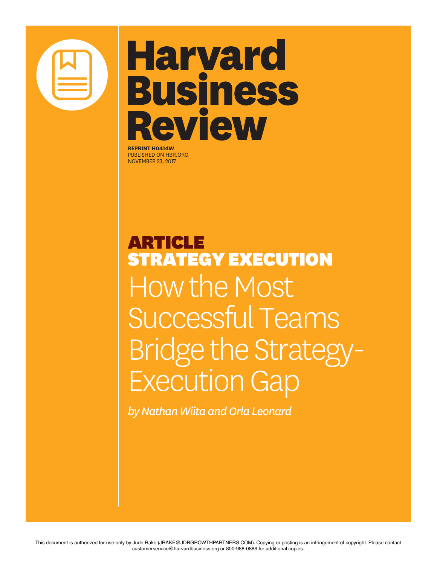

## **Harvard Business Review**

**REPRINT H0414W** PUBLISHED ON HBR.ORG NOVEMBER 23, 2017

ARTICLE STRATEGY EXECUTION How the Most Successful Teams Bridge the Strategy-Execution Gap

*by Nathan Wiita and Orla Leonard*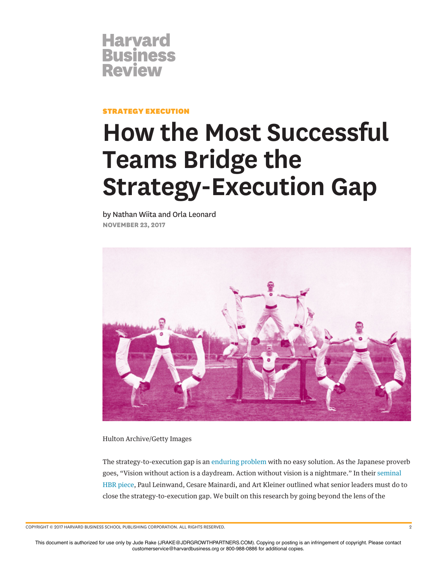

STRATEGY EXECUTION

## **How the Most Successful Teams Bridge the Strategy-Execution Gap**

by Nathan Wiita and Orla Leonard **NOVEMBER 23, 2017**



Hulton Archive/Getty Images

The strategy-to-execution gap is an enduring problem with no easy solution. As the Japanese proverb goes, "Vision without action is a daydream. Action without vision is a nightmare." In their seminal HBR piece, Paul Leinwand, Cesare Mainardi, and Art Kleiner outlined what senior leaders must do to close the strategy-to-execution gap. We built on this research by going beyond the lens of the

COPYRIGHT © 2017 HARVARD BUSINESS SCHOOL PUBLISHING CORPORATION. ALL RIGHTS RESERVED. 2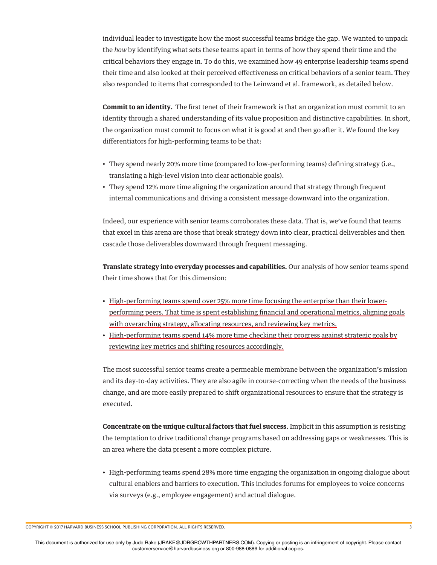individual leader to investigate how the most successful teams bridge the gap. We wanted to unpack the *how* by identifying what sets these teams apart in terms of how they spend their time and the critical behaviors they engage in. To do this, we examined how 49 enterprise leadership teams spend their time and also looked at their perceived efectiveness on critical behaviors of a senior team. They also responded to items that corresponded to the Leinwand et al. framework, as detailed below.

**Commit to an identity.** The frst tenet of their framework is that an organization must commit to an identity through a shared understanding of its value proposition and distinctive capabilities. In short, the organization must commit to focus on what it is good at and then go after it. We found the key diferentiators for high-performing teams to be that:

- They spend nearly 20% more time (compared to low-performing teams) defning strategy (i.e., translating a high-level vision into clear actionable goals).
- They spend 12% more time aligning the organization around that strategy through frequent internal communications and driving a consistent message downward into the organization.

Indeed, our experience with senior teams corroborates these data. That is, we've found that teams that excel in this arena are those that break strategy down into clear, practical deliverables and then cascade those deliverables downward through frequent messaging.

**Translate strategy into everyday processes and capabilities.** Our analysis of how senior teams spend their time shows that for this dimension:

- High-performing teams spend over 25% more time focusing the enterprise than their lowerperforming peers. That time is spent establishing fnancial and operational metrics, aligning goals with overarching strategy, allocating resources, and reviewing key metrics.
- High-performing teams spend 14% more time checking their progress against strategic goals by reviewing key metrics and shifting resources accordingly.

The most successful senior teams create a permeable membrane between the organization's mission and its day-to-day activities. They are also agile in course-correcting when the needs of the business change, and are more easily prepared to shift organizational resources to ensure that the strategy is executed.

**Concentrate on the unique cultural factors that fuel success**. Implicit in this assumption is resisting the temptation to drive traditional change programs based on addressing gaps or weaknesses. This is an area where the data present a more complex picture.

• High-performing teams spend 28% more time engaging the organization in ongoing dialogue about cultural enablers and barriers to execution. This includes forums for employees to voice concerns via surveys (e.g., employee engagement) and actual dialogue.

COPYRIGHT © 2017 HARVARD BUSINESS SCHOOL PUBLISHING CORPORATION. ALL RIGHTS RESERVED. 3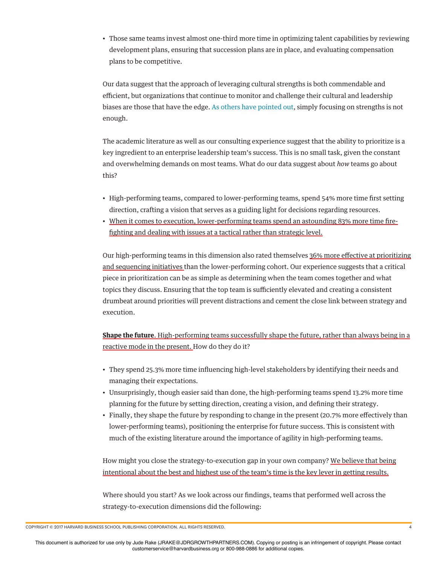• Those same teams invest almost one-third more time in optimizing talent capabilities by reviewing development plans, ensuring that succession plans are in place, and evaluating compensation plans to be competitive.

Our data suggest that the approach of leveraging cultural strengths is both commendable and efficient, but organizations that continue to monitor and challenge their cultural and leadership biases are those that have the edge. As others have pointed out, simply focusing on strengths is not enough.

The academic literature as well as our consulting experience suggest that the ability to prioritize is a key ingredient to an enterprise leadership team's success. This is no small task, given the constant and overwhelming demands on most teams. What do our data suggest about *how* teams go about this?

- High-performing teams, compared to lower-performing teams, spend 54% more time frst setting direction, crafting a vision that serves as a guiding light for decisions regarding resources.
- When it comes to execution, lower-performing teams spend an astounding 83% more time frefghting and dealing with issues at a tactical rather than strategic level.

Our high-performing teams in this dimension also rated themselves 36% more efective at prioritizing and sequencing initiatives than the lower-performing cohort. Our experience suggests that a critical piece in prioritization can be as simple as determining when the team comes together and what topics they discuss. Ensuring that the top team is sufficiently elevated and creating a consistent drumbeat around priorities will prevent distractions and cement the close link between strategy and execution.

**Shape the future**. High-performing teams successfully shape the future, rather than always being in a reactive mode in the present. How do they do it?

- They spend 25.3% more time infuencing high-level stakeholders by identifying their needs and managing their expectations.
- Unsurprisingly, though easier said than done, the high-performing teams spend 13.2% more time planning for the future by setting direction, creating a vision, and defning their strategy.
- Finally, they shape the future by responding to change in the present (20.7% more efectively than lower-performing teams), positioning the enterprise for future success. This is consistent with much of the existing literature around the importance of agility in high-performing teams.

How might you close the strategy-to-execution gap in your own company? We believe that being intentional about the best and highest use of the team's time is the key lever in getting results.

Where should you start? As we look across our fndings, teams that performed well across the strategy-to-execution dimensions did the following:

COPYRIGHT © 2017 HARVARD BUSINESS SCHOOL PUBLISHING CORPORATION. ALL RIGHTS RESERVED. 4